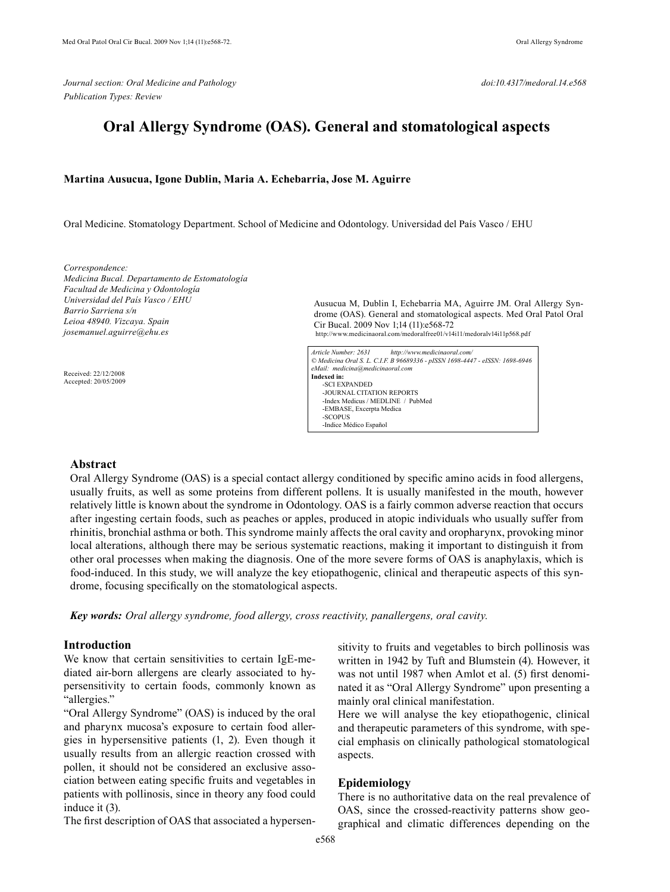*Journal section: Oral Medicine and Pathology doi:10.4317/medoral.14.e568 Publication Types: Review* 

# **Oral Allergy Syndrome (OAS). General and stomatological aspects**

#### **Martina Ausucua, Igone Dublin, Maria A. Echebarria, Jose M. Aguirre**

Oral Medicine. Stomatology Department. School of Medicine and Odontology. Universidad del País Vasco / EHU

*Correspondence: Medicina Bucal. Departamento de Estomatología Facultad de Medicina y Odontología Universidad del País Vasco / EHU Barrio Sarriena s/n Leioa 48940. Vizcaya. Spain josemanuel.aguirre@ehu.es*

 Received: 22/12/2008 Accepted: 20/05/2009 Ausucua M, Dublin I, Echebarria MA, Aguirre JM. Oral Allergy Syndrome (OAS). General and stomatological aspects. Med Oral Patol Oral Cir Bucal. 2009 Nov 1;14 (11):e568-72 http://www.medicinaoral.com/medoralfree01/v14i11/medoralv14i11p568.pdf

*Article Number: 2631 http://www.medicinaoral.com/ © Medicina Oral S. L. C.I.F. B 96689336 - pISSN 1698-4447 - eISSN: 1698-6946 eMail: medicina@medicinaoral.com*  **Indexed in:**  -SCI EXPANDED -JOURNAL CITATION REPORTS -Index Medicus / MEDLINE / PubMed -EMBASE, Excerpta Medica -SCOPUS -Indice Médico Español

## **Abstract**

Oral Allergy Syndrome (OAS) is a special contact allergy conditioned by specific amino acids in food allergens, usually fruits, as well as some proteins from different pollens. It is usually manifested in the mouth, however relatively little is known about the syndrome in Odontology. OAS is a fairly common adverse reaction that occurs after ingesting certain foods, such as peaches or apples, produced in atopic individuals who usually suffer from rhinitis, bronchial asthma or both. This syndrome mainly affects the oral cavity and oropharynx, provoking minor local alterations, although there may be serious systematic reactions, making it important to distinguish it from other oral processes when making the diagnosis. One of the more severe forms of OAS is anaphylaxis, which is food-induced. In this study, we will analyze the key etiopathogenic, clinical and therapeutic aspects of this syndrome, focusing specifically on the stomatological aspects.

*Key words: Oral allergy syndrome, food allergy, cross reactivity, panallergens, oral cavity.*

## **Introduction**

We know that certain sensitivities to certain IgE-mediated air-born allergens are clearly associated to hypersensitivity to certain foods, commonly known as "allergies."

"Oral Allergy Syndrome" (OAS) is induced by the oral and pharynx mucosa's exposure to certain food allergies in hypersensitive patients (1, 2). Even though it usually results from an allergic reaction crossed with pollen, it should not be considered an exclusive association between eating specific fruits and vegetables in patients with pollinosis, since in theory any food could induce it (3).

The first description of OAS that associated a hypersen-

sitivity to fruits and vegetables to birch pollinosis was written in 1942 by Tuft and Blumstein (4). However, it was not until 1987 when Amlot et al. (5) first denominated it as "Oral Allergy Syndrome" upon presenting a mainly oral clinical manifestation.

Here we will analyse the key etiopathogenic, clinical and therapeutic parameters of this syndrome, with special emphasis on clinically pathological stomatological aspects.

## **Epidemiology**

There is no authoritative data on the real prevalence of OAS, since the crossed-reactivity patterns show geographical and climatic differences depending on the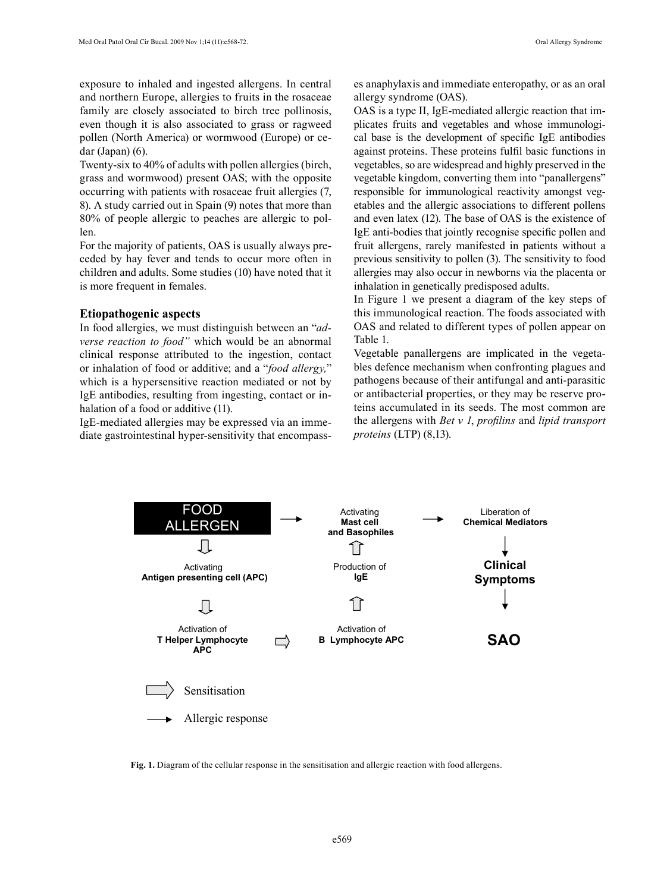exposure to inhaled and ingested allergens. In central and northern Europe, allergies to fruits in the rosaceae family are closely associated to birch tree pollinosis, even though it is also associated to grass or ragweed pollen (North America) or wormwood (Europe) or cedar (Japan) (6).

Twenty-six to 40% of adults with pollen allergies (birch, grass and wormwood) present OAS; with the opposite occurring with patients with rosaceae fruit allergies (7, 8). A study carried out in Spain (9) notes that more than 80% of people allergic to peaches are allergic to pollen.

For the majority of patients, OAS is usually always preceded by hay fever and tends to occur more often in children and adults. Some studies (10) have noted that it is more frequent in females.

### **Etiopathogenic aspects**

In food allergies, we must distinguish between an "*adverse reaction to food"* which would be an abnormal clinical response attributed to the ingestion, contact or inhalation of food or additive; and a "*food allergy,*" which is a hypersensitive reaction mediated or not by IgE antibodies, resulting from ingesting, contact or inhalation of a food or additive (11).

IgE-mediated allergies may be expressed via an immediate gastrointestinal hyper-sensitivity that encompasses anaphylaxis and immediate enteropathy, or as an oral allergy syndrome (OAS).

OAS is a type II, IgE-mediated allergic reaction that implicates fruits and vegetables and whose immunological base is the development of specific IgE antibodies against proteins. These proteins fulfil basic functions in vegetables, so are widespread and highly preserved in the vegetable kingdom, converting them into "panallergens" responsible for immunological reactivity amongst vegetables and the allergic associations to different pollens and even latex (12). The base of OAS is the existence of IgE anti-bodies that jointly recognise specific pollen and fruit allergens, rarely manifested in patients without a previous sensitivity to pollen (3). The sensitivity to food allergies may also occur in newborns via the placenta or inhalation in genetically predisposed adults.

In Figure 1 we present a diagram of the key steps of this immunological reaction. The foods associated with OAS and related to different types of pollen appear on Table 1.

Vegetable panallergens are implicated in the vegetables defence mechanism when confronting plagues and pathogens because of their antifungal and anti-parasitic or antibacterial properties, or they may be reserve proteins accumulated in its seeds. The most common are the allergens with *Bet v 1*, *profilins* and *lipid transport proteins* (LTP) (8,13).



**Fig. 1.** Diagram of the cellular response in the sensitisation and allergic reaction with food allergens.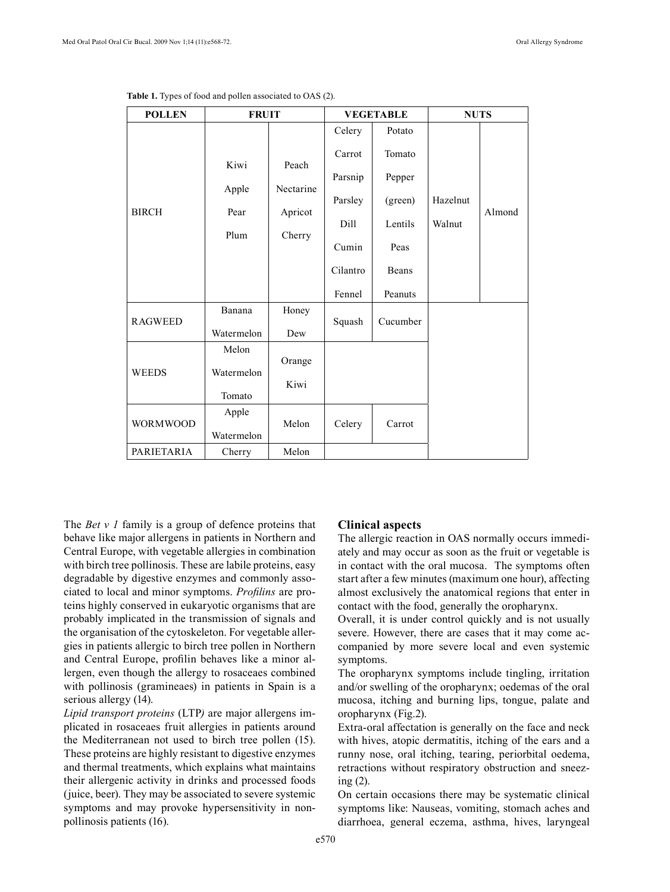| <b>POLLEN</b>   | <b>FRUIT</b>        |                               | <b>VEGETABLE</b> |          | <b>NUTS</b> |        |
|-----------------|---------------------|-------------------------------|------------------|----------|-------------|--------|
|                 |                     |                               | Celery           | Potato   |             |        |
| <b>BIRCH</b>    | Kiwi                | Peach<br>Nectarine<br>Apricot | Carrot           | Tomato   |             |        |
|                 |                     |                               | Parsnip          | Pepper   |             |        |
|                 | Apple               |                               | Parsley          | (green)  | Hazelnut    | Almond |
|                 | Pear                |                               | Dill             | Lentils  | Walnut      |        |
|                 | Plum                | Cherry                        | Cumin            | Peas     |             |        |
|                 |                     |                               | Cilantro         | Beans    |             |        |
|                 |                     |                               | Fennel           | Peanuts  |             |        |
| <b>RAGWEED</b>  | Banana              | Honey                         | Squash           | Cucumber |             |        |
|                 | Watermelon          | Dew                           |                  |          |             |        |
| <b>WEEDS</b>    | Melon               | Orange                        |                  |          |             |        |
|                 | Watermelon          | Kiwi                          |                  |          |             |        |
|                 | Tomato              |                               |                  |          |             |        |
| <b>WORMWOOD</b> | Apple<br>Watermelon | Melon                         | Celery           | Carrot   |             |        |
| PARIETARIA      | Cherry              | Melon                         |                  |          |             |        |

**Table 1.** Types of food and pollen associated to OAS (2).

The *Bet v 1* family is a group of defence proteins that behave like major allergens in patients in Northern and Central Europe, with vegetable allergies in combination with birch tree pollinosis. These are labile proteins, easy degradable by digestive enzymes and commonly associated to local and minor symptoms. *Profilins* are proteins highly conserved in eukaryotic organisms that are probably implicated in the transmission of signals and the organisation of the cytoskeleton. For vegetable allergies in patients allergic to birch tree pollen in Northern and Central Europe, profilin behaves like a minor allergen, even though the allergy to rosaceaes combined with pollinosis (gramineaes) in patients in Spain is a serious allergy (14).

*Lipid transport proteins* (LTP*)* are major allergens implicated in rosaceaes fruit allergies in patients around the Mediterranean not used to birch tree pollen (15). These proteins are highly resistant to digestive enzymes and thermal treatments, which explains what maintains their allergenic activity in drinks and processed foods (juice, beer). They may be associated to severe systemic symptoms and may provoke hypersensitivity in nonpollinosis patients (16).

#### **Clinical aspects**

The allergic reaction in OAS normally occurs immediately and may occur as soon as the fruit or vegetable is in contact with the oral mucosa. The symptoms often start after a few minutes (maximum one hour), affecting almost exclusively the anatomical regions that enter in contact with the food, generally the oropharynx.

Overall, it is under control quickly and is not usually severe. However, there are cases that it may come accompanied by more severe local and even systemic symptoms.

The oropharynx symptoms include tingling, irritation and/or swelling of the oropharynx; oedemas of the oral mucosa, itching and burning lips, tongue, palate and oropharynx (Fig.2).

Extra-oral affectation is generally on the face and neck with hives, atopic dermatitis, itching of the ears and a runny nose, oral itching, tearing, periorbital oedema, retractions without respiratory obstruction and sneezing (2).

On certain occasions there may be systematic clinical symptoms like: Nauseas, vomiting, stomach aches and diarrhoea, general eczema, asthma, hives, laryngeal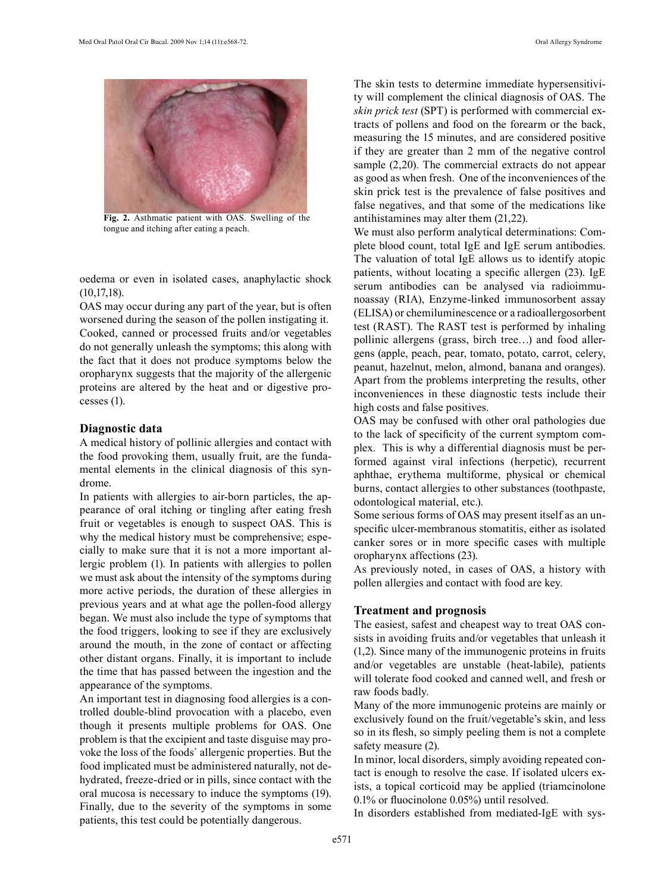

**Fig. 2.** Asthmatic patient with OAS. Swelling of the tongue and itching after eating a peach.

oedema or even in isolated cases, anaphylactic shock (10,17,18).

OAS may occur during any part of the year, but is often worsened during the season of the pollen instigating it. Cooked, canned or processed fruits and/or vegetables do not generally unleash the symptoms; this along with the fact that it does not produce symptoms below the oropharynx suggests that the majority of the allergenic proteins are altered by the heat and or digestive processes (1).

## **Diagnostic data**

A medical history of pollinic allergies and contact with the food provoking them, usually fruit, are the fundamental elements in the clinical diagnosis of this syndrome.

In patients with allergies to air-born particles, the appearance of oral itching or tingling after eating fresh fruit or vegetables is enough to suspect OAS. This is why the medical history must be comprehensive; especially to make sure that it is not a more important allergic problem (1). In patients with allergies to pollen we must ask about the intensity of the symptoms during more active periods, the duration of these allergies in previous years and at what age the pollen-food allergy began. We must also include the type of symptoms that the food triggers, looking to see if they are exclusively around the mouth, in the zone of contact or affecting other distant organs. Finally, it is important to include the time that has passed between the ingestion and the appearance of the symptoms.

An important test in diagnosing food allergies is a controlled double-blind provocation with a placebo, even though it presents multiple problems for OAS. One problem is that the excipient and taste disguise may provoke the loss of the foods´ allergenic properties. But the food implicated must be administered naturally, not dehydrated, freeze-dried or in pills, since contact with the oral mucosa is necessary to induce the symptoms (19). Finally, due to the severity of the symptoms in some patients, this test could be potentially dangerous.

The skin tests to determine immediate hypersensitivity will complement the clinical diagnosis of OAS. The *skin prick test* (SPT) is performed with commercial extracts of pollens and food on the forearm or the back, measuring the 15 minutes, and are considered positive if they are greater than 2 mm of the negative control sample (2,20). The commercial extracts do not appear as good as when fresh. One of the inconveniences of the skin prick test is the prevalence of false positives and false negatives, and that some of the medications like antihistamines may alter them (21,22).

We must also perform analytical determinations: Complete blood count, total IgE and IgE serum antibodies. The valuation of total IgE allows us to identify atopic patients, without locating a specific allergen (23). IgE serum antibodies can be analysed via radioimmunoassay (RIA), Enzyme-linked immunosorbent assay (ELISA) or chemiluminescence or a radioallergosorbent test (RAST). The RAST test is performed by inhaling pollinic allergens (grass, birch tree…) and food allergens (apple, peach, pear, tomato, potato, carrot, celery, peanut, hazelnut, melon, almond, banana and oranges). Apart from the problems interpreting the results, other inconveniences in these diagnostic tests include their high costs and false positives.

OAS may be confused with other oral pathologies due to the lack of specificity of the current symptom complex. This is why a differential diagnosis must be performed against viral infections (herpetic), recurrent aphthae, erythema multiforme, physical or chemical burns, contact allergies to other substances (toothpaste, odontological material, etc.).

Some serious forms of OAS may present itself as an unspecific ulcer-membranous stomatitis, either as isolated canker sores or in more specific cases with multiple oropharynx affections (23).

As previously noted, in cases of OAS, a history with pollen allergies and contact with food are key.

## **Treatment and prognosis**

The easiest, safest and cheapest way to treat OAS consists in avoiding fruits and/or vegetables that unleash it (1,2). Since many of the immunogenic proteins in fruits and/or vegetables are unstable (heat-labile), patients will tolerate food cooked and canned well, and fresh or raw foods badly.

Many of the more immunogenic proteins are mainly or exclusively found on the fruit/vegetable's skin, and less so in its flesh, so simply peeling them is not a complete safety measure (2).

In minor, local disorders, simply avoiding repeated contact is enough to resolve the case. If isolated ulcers exists, a topical corticoid may be applied (triamcinolone 0.1% or fluocinolone 0.05%) until resolved.

In disorders established from mediated-IgE with sys-